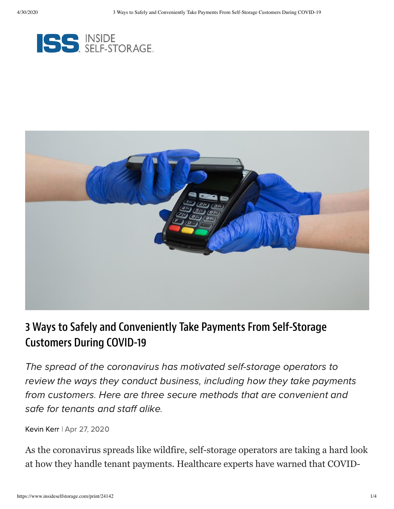



### 3 Ways to Safely and Conveniently Take Payments From Self-Storage Customers During COVID-19

The spread of the coronavirus has motivated self-storage operators to review the ways they conduct business, including how they take payments from customers. Here are three secure methods that are convenient and safe for tenants and staff alike.

[Kevin](https://www.insideselfstorage.com/author/Kevin-Kerr) Kerr | Apr 27, 2020

As the coronavirus spreads like wildfire, self-storage operators are taking a hard look at how they handle tenant payments. Healthcare experts have warned that COVID-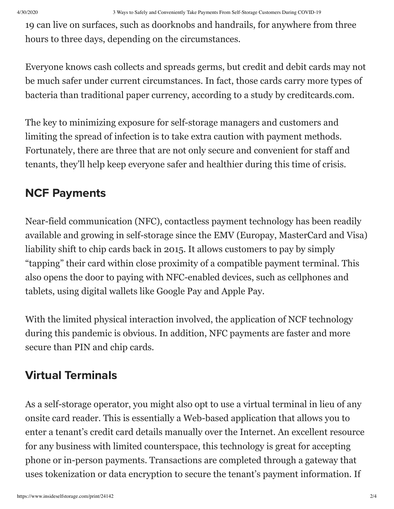19 can live on surfaces, such as doorknobs and handrails, for anywhere from three hours to three days, depending on the circumstances.

Everyone knows cash collects and spreads germs, but credit and debit cards may not be much safer under current circumstances. In fact, those cards carry more types of bacteria than traditional paper currency, according to a study by creditcards.com.

The key to minimizing exposure for self-storage managers and customers and limiting the spread of infection is to take extra caution with payment methods. Fortunately, there are three that are not only secure and convenient for staff and tenants, they'll help keep everyone safer and healthier during this time of crisis.

## NCF Payments

Near-field communication (NFC), contactless payment technology has been readily available and growing in self-storage since the EMV (Europay, MasterCard and Visa) liability shift to chip cards back in 2015. It allows customers to pay by simply "tapping" their card within close proximity of a compatible payment terminal. This also opens the door to paying with NFC-enabled devices, such as cellphones and tablets, using digital wallets like Google Pay and Apple Pay.

With the limited physical interaction involved, the application of NCF technology during this pandemic is obvious. In addition, NFC payments are faster and more secure than PIN and chip cards.

# Virtual Terminals

As a self-storage operator, you might also opt to use a virtual terminal in lieu of any onsite card reader. This is essentially a Web-based application that allows you to enter a tenant's credit card details manually over the Internet. An excellent resource for any business with limited counterspace, this technology is great for accepting phone or in-person payments. Transactions are completed through a gateway that uses tokenization or data encryption to secure the tenant's payment information. If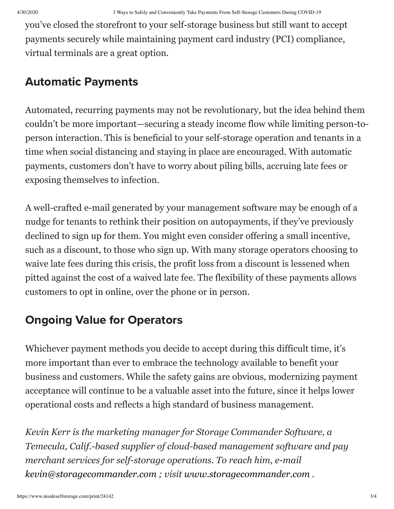you've closed the storefront to your self-storage business but still want to accept payments securely while maintaining payment card industry (PCI) compliance, virtual terminals are a great option.

#### Automatic Payments

Automated, recurring payments may not be revolutionary, but the idea behind them couldn't be more important—securing a steady income flow while limiting person-toperson interaction. This is beneficial to your self-storage operation and tenants in a time when social distancing and staying in place are encouraged. With automatic payments, customers don't have to worry about piling bills, accruing late fees or exposing themselves to infection.

A well-crafted e-mail generated by your management software may be enough of a nudge for tenants to rethink their position on autopayments, if they've previously declined to sign up for them. You might even consider offering a small incentive, such as a discount, to those who sign up. With many storage operators choosing to waive late fees during this crisis, the profit loss from a discount is lessened when pitted against the cost of a waived late fee. The flexibility of these payments allows customers to opt in online, over the phone or in person.

#### Ongoing Value for Operators

Whichever payment methods you decide to accept during this difficult time, it's more important than ever to embrace the technology available to benefit your business and customers. While the safety gains are obvious, modernizing payment acceptance will continue to be a valuable asset into the future, since it helps lower operational costs and reflects a high standard of business management.

*Kevin Kerr is the marketing manager for Storage Commander Software, a Temecula, Calif.-based supplier of cloud-based management software and pay merchant services for self-storage operations. To reach him, e-mail [kevin@storagecommander.com](mailto:kevin@storagecommander.com) ; visit [www.storagecommander.com](http://www.storagecommander.com/) .*